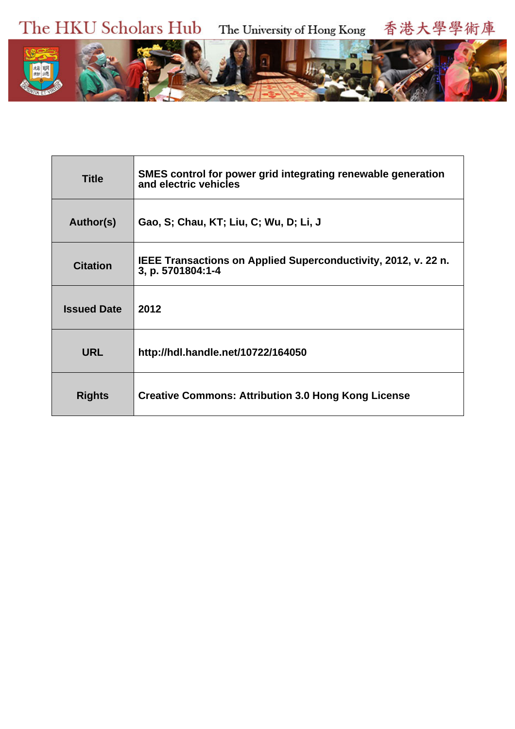The HKU Scholars Hub 香港大學學術庫 The University of Hong Kong



| <b>Title</b>       | SMES control for power grid integrating renewable generation<br>and electric vehicles |  |  |
|--------------------|---------------------------------------------------------------------------------------|--|--|
| Author(s)          | Gao, S; Chau, KT; Liu, C; Wu, D; Li, J                                                |  |  |
| <b>Citation</b>    | IEEE Transactions on Applied Superconductivity, 2012, v. 22 n.<br>3, p. 5701804:1-4   |  |  |
| <b>Issued Date</b> | 2012                                                                                  |  |  |
| <b>URL</b>         | http://hdl.handle.net/10722/164050                                                    |  |  |
| <b>Rights</b>      | <b>Creative Commons: Attribution 3.0 Hong Kong License</b>                            |  |  |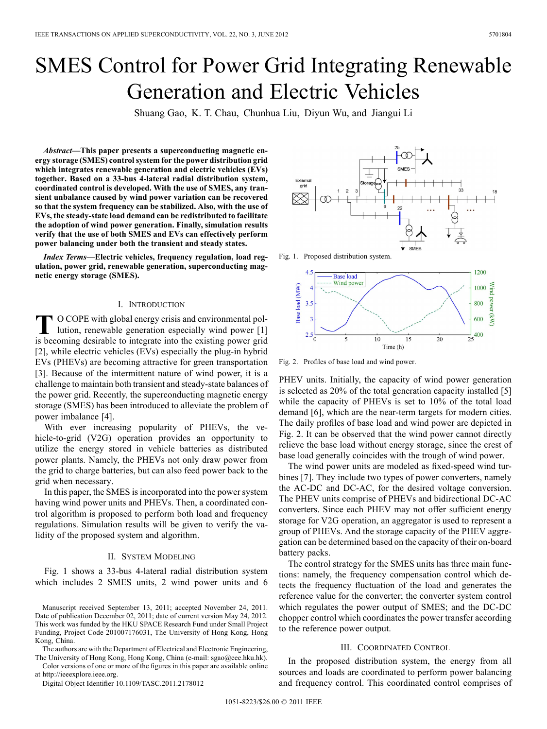# SMES Control for Power Grid Integrating Renewable Generation and Electric Vehicles

Shuang Gao, K. T. Chau, Chunhua Liu, Diyun Wu, and Jiangui Li

*Abstract—***This paper presents a superconducting magnetic energy storage (SMES) control system for the power distribution grid which integrates renewable generation and electric vehicles (EVs) together. Based on a 33-bus 4-lateral radial distribution system, coordinated control is developed. With the use of SMES, any transient unbalance caused by wind power variation can be recovered so that the system frequency can be stabilized. Also, with the use of EVs, the steady-state load demand can be redistributed to facilitate the adoption of wind power generation. Finally, simulation results verify that the use of both SMES and EVs can effectively perform power balancing under both the transient and steady states.**

*Index Terms—***Electric vehicles, frequency regulation, load regulation, power grid, renewable generation, superconducting magnetic energy storage (SMES).**

# I. INTRODUCTION

T O COPE with global energy crisis and environmental pol-<br>lution, renewable generation especially wind power [1] is becoming desirable to integrate into the existing power grid [2], while electric vehicles (EVs) especially the plug-in hybrid EVs (PHEVs) are becoming attractive for green transportation [3]. Because of the intermittent nature of wind power, it is a challenge to maintain both transient and steady-state balances of the power grid. Recently, the superconducting magnetic energy storage (SMES) has been introduced to alleviate the problem of power imbalance [4].

With ever increasing popularity of PHEVs, the vehicle-to-grid (V2G) operation provides an opportunity to utilize the energy stored in vehicle batteries as distributed power plants. Namely, the PHEVs not only draw power from the grid to charge batteries, but can also feed power back to the grid when necessary.

In this paper, the SMES is incorporated into the power system having wind power units and PHEVs. Then, a coordinated control algorithm is proposed to perform both load and frequency regulations. Simulation results will be given to verify the validity of the proposed system and algorithm.

# II. SYSTEM MODELING

Fig. 1 shows a 33-bus 4-lateral radial distribution system which includes 2 SMES units, 2 wind power units and 6

The authors are with the Department of Electrical and Electronic Engineering, The University of Hong Kong, Hong Kong, China (e-mail: sgao@eee.hku.hk).

Color versions of one or more of the figures in this paper are available online at http://ieeexplore.ieee.org.

Digital Object Identifier 10.1109/TASC.2011.2178012



Fig. 1. Proposed distribution system.



Fig. 2. Profiles of base load and wind power.

PHEV units. Initially, the capacity of wind power generation is selected as 20% of the total generation capacity installed [5] while the capacity of PHEVs is set to 10% of the total load demand [6], which are the near-term targets for modern cities. The daily profiles of base load and wind power are depicted in Fig. 2. It can be observed that the wind power cannot directly relieve the base load without energy storage, since the crest of base load generally coincides with the trough of wind power.

The wind power units are modeled as fixed-speed wind turbines [7]. They include two types of power converters, namely the AC-DC and DC-AC, for the desired voltage conversion. The PHEV units comprise of PHEVs and bidirectional DC-AC converters. Since each PHEV may not offer sufficient energy storage for V2G operation, an aggregator is used to represent a group of PHEVs. And the storage capacity of the PHEV aggregation can be determined based on the capacity of their on-board battery packs.

The control strategy for the SMES units has three main functions: namely, the frequency compensation control which detects the frequency fluctuation of the load and generates the reference value for the converter; the converter system control which regulates the power output of SMES; and the DC-DC chopper control which coordinates the power transfer according to the reference power output.

## III. COORDINATED CONTROL

In the proposed distribution system, the energy from all sources and loads are coordinated to perform power balancing and frequency control. This coordinated control comprises of

Manuscript received September 13, 2011; accepted November 24, 2011. Date of publication December 02, 2011; date of current version May 24, 2012. This work was funded by the HKU SPACE Research Fund under Small Project Funding, Project Code 201007176031, The University of Hong Kong, Hong Kong, China.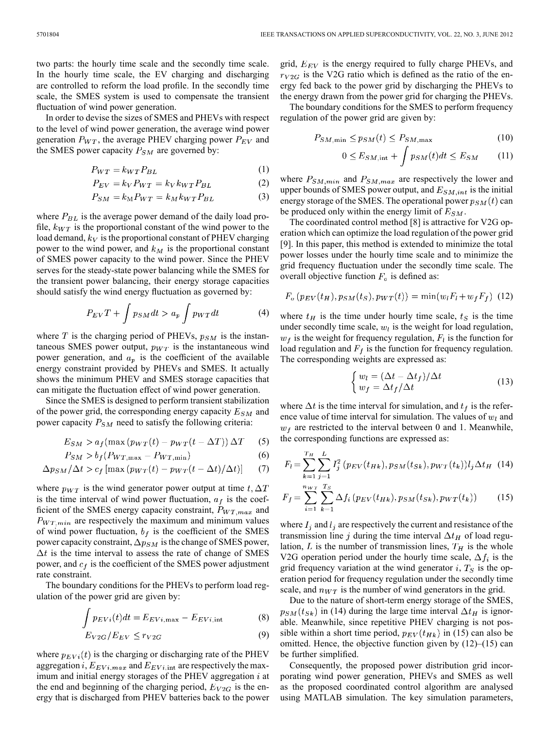two parts: the hourly time scale and the secondly time scale. In the hourly time scale, the EV charging and discharging are controlled to reform the load profile. In the secondly time scale, the SMES system is used to compensate the transient fluctuation of wind power generation.

In order to devise the sizes of SMES and PHEVs with respect to the level of wind power generation, the average wind power generation  $P_{WT}$ , the average PHEV charging power  $P_{EV}$  and the SMES power capacity  $P_{SM}$  are governed by:

$$
P_{WT} = k_{WT} P_{BL} \tag{1}
$$

$$
P_{EV} = k_V P_{WT} = k_V k_{WT} P_{BL} \tag{2}
$$

$$
P_{SM} = k_{\rm M} P_{WT} = k_M k_{WT} P_{BL} \tag{3}
$$

where  $P_{BL}$  is the average power demand of the daily load profile,  $k_{WT}$  is the proportional constant of the wind power to the load demand,  $k_V$  is the proportional constant of PHEV charging power to the wind power, and  $k_M$  is the proportional constant of SMES power capacity to the wind power. Since the PHEV serves for the steady-state power balancing while the SMES for the transient power balancing, their energy storage capacities should satisfy the wind energy fluctuation as governed by:

$$
P_{EV}T + \int p_{SM}dt > a_p \int p_{WT}dt
$$
 (4)

where  $T$  is the charging period of PHEVs,  $p_{SM}$  is the instantaneous SMES power output,  $p_{WT}$  is the instantaneous wind power generation, and  $a_p$  is the coefficient of the available energy constraint provided by PHEVs and SMES. It actually shows the minimum PHEV and SMES storage capacities that can mitigate the fluctuation effect of wind power generation.

Since the SMES is designed to perform transient stabilization of the power grid, the corresponding energy capacity  $E_{SM}$  and power capacity  $P_{SM}$  need to satisfy the following criteria:

$$
E_{SM} > a_f(\max(p_{WT}(t) - p_{WT}(t - \Delta T)) \Delta T \qquad (5)
$$

$$
P_{SM} > b_f(P_{WT, \max} - P_{WT, \min})
$$
 (6)

$$
\Delta p_{SM} / \Delta t > c_f \left[ \max \left( p_{WT}(t) - p_{WT}(t - \Delta t) / \Delta t \right) \right] \tag{7}
$$

where  $p_{WT}$  is the wind generator power output at time t,  $\Delta T$ is the time interval of wind power fluctuation,  $a_f$  is the coefficient of the SMES energy capacity constraint,  $P_{WT,max}$  and  $P_{WT,min}$  are respectively the maximum and minimum values of wind power fluctuation,  $b_f$  is the coefficient of the SMES power capacity constraint,  $\Delta p_{SM}$  is the change of SMES power,  $\Delta t$  is the time interval to assess the rate of change of SMES power, and  $c_f$  is the coefficient of the SMES power adjustment rate constraint.

The boundary conditions for the PHEVs to perform load regulation of the power grid are given by:

$$
\int p_{EVi}(t)dt = E_{EVi, \text{max}} - E_{EVi, \text{int}}
$$
 (8)

$$
E_{V2G}/E_{EV} \leq r_{V2G} \tag{9}
$$

where  $p_{EV_i}(t)$  is the charging or discharging rate of the PHEV aggregation  $i$ ,  $E_{EVi,max}$  and  $E_{EVi, \text{int}}$  are respectively the maximum and initial energy storages of the PHEV aggregation  $i$  at the end and beginning of the charging period,  $E_{V2G}$  is the energy that is discharged from PHEV batteries back to the power

grid,  $E_{EV}$  is the energy required to fully charge PHEVs, and  $r_{V2G}$  is the V2G ratio which is defined as the ratio of the energy fed back to the power grid by discharging the PHEVs to the energy drawn from the power grid for charging the PHEVs.

The boundary conditions for the SMES to perform frequency regulation of the power grid are given by:

$$
P_{SM,\min} \le p_{SM}(t) \le P_{SM,\max} \tag{10}
$$

$$
0 \le E_{SM, \text{int}} + \int p_{SM}(t)dt \le E_{SM} \tag{11}
$$

where  $P_{SM,min}$  and  $P_{SM,max}$  are respectively the lower and upper bounds of SMES power output, and  $E_{SM,int}$  is the initial energy storage of the SMES. The operational power  $p_{SM}(t)$  can be produced only within the energy limit of  $E_{SM}$ .

The coordinated control method [8] is attractive for V2G operation which can optimize the load regulation of the power grid [9]. In this paper, this method is extended to minimize the total power losses under the hourly time scale and to minimize the grid frequency fluctuation under the secondly time scale. The overall objective function  $F<sub>o</sub>$  is defined as:

$$
F_o(p_{EV}(t_H), p_{SM}(t_S), p_{WT}(t)) = \min(w_l F_l + w_f F_f) \tag{12}
$$

where  $t_H$  is the time under hourly time scale,  $t_S$  is the time under secondly time scale,  $w_l$  is the weight for load regulation,  $w_f$  is the weight for frequency regulation,  $F_l$  is the function for load regulation and  $F_f$  is the function for frequency regulation. The corresponding weights are expressed as:

$$
\begin{cases} w_l = (\Delta t - \Delta t_f) / \Delta t \\ w_f = \Delta t_f / \Delta t \end{cases}
$$
\n(13)

where  $\Delta t$  is the time interval for simulation, and  $t_f$  is the reference value of time interval for simulation. The values of  $w_l$  and  $w_f$  are restricted to the interval between 0 and 1. Meanwhile, the corresponding functions are expressed as:

$$
F_l = \sum_{k=1}^{T_H} \sum_{j=1}^{L} I_j^2 \left( p_{EV}(t_{Hk}), p_{SM}(t_{Sk}), p_{WT}(t_k) \right) l_j \Delta t_H \tag{14}
$$

$$
F_f = \sum_{i=1}^{n_{WT}} \sum_{k=1}^{T_S} \Delta f_i \left( p_{EV}(t_{Hk}), p_{SM}(t_{Sk}), p_{WT}(t_k) \right) \tag{15}
$$

where  $I_i$  and  $l_i$  are respectively the current and resistance of the transmission line j during the time interval  $\Delta t_H$  of load regulation,  $L$  is the number of transmission lines,  $T_H$  is the whole V2G operation period under the hourly time scale,  $\Delta f_i$  is the grid frequency variation at the wind generator  $i$ ,  $T<sub>S</sub>$  is the operation period for frequency regulation under the secondly time scale, and  $n_{WT}$  is the number of wind generators in the grid.

Due to the nature of short-term energy storage of the SMES,  $p_{SM}(t_{Sk})$  in (14) during the large time interval  $\Delta t_H$  is ignorable. Meanwhile, since repetitive PHEV charging is not possible within a short time period,  $p_{EV}(t_{Hk})$  in (15) can also be omitted. Hence, the objective function given by (12)–(15) can be further simplified.

Consequently, the proposed power distribution grid incorporating wind power generation, PHEVs and SMES as well as the proposed coordinated control algorithm are analysed using MATLAB simulation. The key simulation parameters,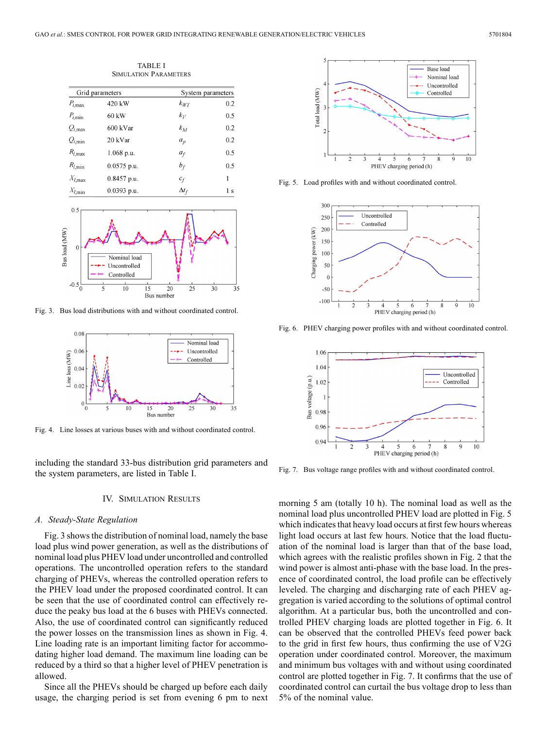| <b>SIMULATION PARAMETERS</b> |               |                   |     |  |
|------------------------------|---------------|-------------------|-----|--|
| Grid parameters              |               | System parameters |     |  |
| $P_{i,\text{max}}$           | 420 kW        | $k_{WT}$          | 0.2 |  |
| $P_{i,\min}$                 | 60 kW         | $k_V$             | 0.5 |  |
| $Q_{i,\text{max}}$           | 600 kVar      | $k_M$             | 0.2 |  |
| $Q_{i,\min}$                 | 20 kVar       | $a_p$             | 0.2 |  |
| $R_{l, \text{max}}$          | 1.068 p.u.    | $a_f$             | 0.5 |  |
| $R_{l, \text{min}}$          | $0.0575$ p.u. | $b_f$             | 0.5 |  |
| $X_{l,\max}$                 | 0.8457 p.u.   | $c_f$             | 1   |  |
| $X_{l \min}$                 | $0.0393$ p.u. | $\Delta t_f$      | 1 s |  |

TABLE I



Fig. 3. Bus load distributions with and without coordinated control.



Fig. 4. Line losses at various buses with and without coordinated control.

including the standard 33-bus distribution grid parameters and the system parameters, are listed in Table I.

# IV. SIMULATION RESULTS

## *A. Steady-State Regulation*

Fig. 3 shows the distribution of nominal load, namely the base load plus wind power generation, as well as the distributions of nominal load plus PHEV load under uncontrolled and controlled operations. The uncontrolled operation refers to the standard charging of PHEVs, whereas the controlled operation refers to the PHEV load under the proposed coordinated control. It can be seen that the use of coordinated control can effectively reduce the peaky bus load at the 6 buses with PHEVs connected. Also, the use of coordinated control can significantly reduced the power losses on the transmission lines as shown in Fig. 4. Line loading rate is an important limiting factor for accommodating higher load demand. The maximum line loading can be reduced by a third so that a higher level of PHEV penetration is allowed.

Since all the PHEVs should be charged up before each daily usage, the charging period is set from evening 6 pm to next



Fig. 5. Load profiles with and without coordinated control.



Fig. 6. PHEV charging power profiles with and without coordinated control.



Fig. 7. Bus voltage range profiles with and without coordinated control.

morning 5 am (totally 10 h). The nominal load as well as the nominal load plus uncontrolled PHEV load are plotted in Fig. 5 which indicates that heavy load occurs at first few hours whereas light load occurs at last few hours. Notice that the load fluctuation of the nominal load is larger than that of the base load, which agrees with the realistic profiles shown in Fig. 2 that the wind power is almost anti-phase with the base load. In the presence of coordinated control, the load profile can be effectively leveled. The charging and discharging rate of each PHEV aggregation is varied according to the solutions of optimal control algorithm. At a particular bus, both the uncontrolled and controlled PHEV charging loads are plotted together in Fig. 6. It can be observed that the controlled PHEVs feed power back to the grid in first few hours, thus confirming the use of V2G operation under coordinated control. Moreover, the maximum and minimum bus voltages with and without using coordinated control are plotted together in Fig. 7. It confirms that the use of coordinated control can curtail the bus voltage drop to less than 5% of the nominal value.